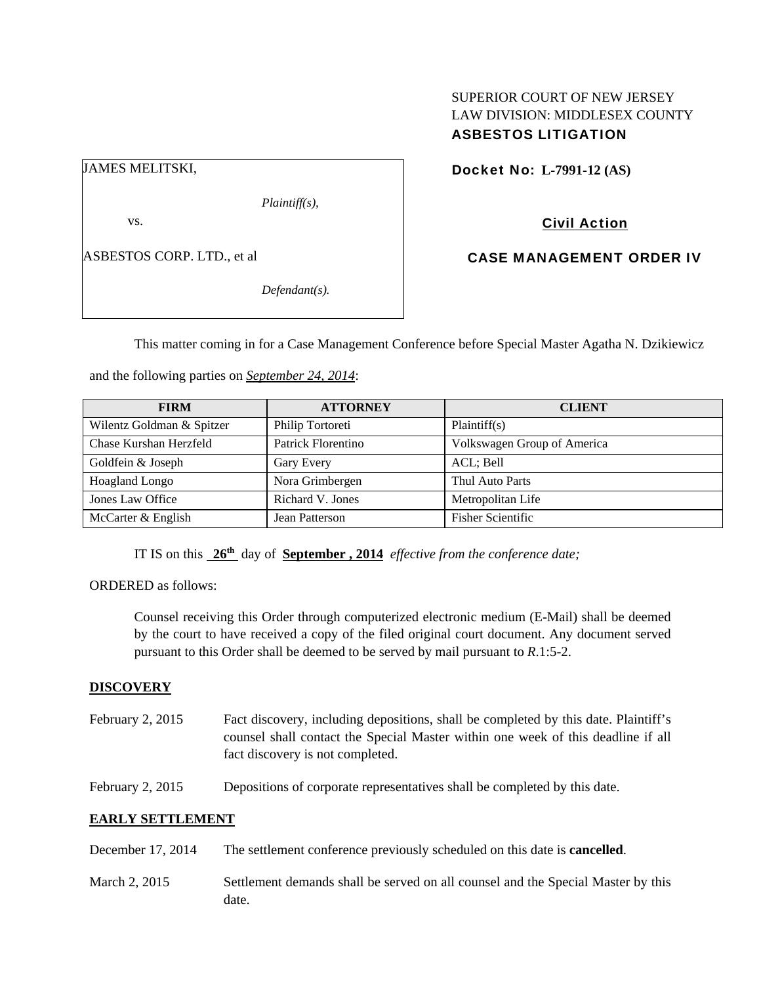# SUPERIOR COURT OF NEW JERSEY LAW DIVISION: MIDDLESEX COUNTY ASBESTOS LITIGATION

JAMES MELITSKI,

*Plaintiff(s),* 

vs.

ASBESTOS CORP. LTD., et al

*Defendant(s).* 

Docket No: **L-7991-12 (AS)** 

# Civil Action

CASE MANAGEMENT ORDER IV

This matter coming in for a Case Management Conference before Special Master Agatha N. Dzikiewicz

and the following parties on *September 24, 2014*:

| <b>FIRM</b>               | <b>ATTORNEY</b>    | <b>CLIENT</b>               |
|---------------------------|--------------------|-----------------------------|
| Wilentz Goldman & Spitzer | Philip Tortoreti   | Plaintiff(s)                |
| Chase Kurshan Herzfeld    | Patrick Florentino | Volkswagen Group of America |
| Goldfein & Joseph         | Gary Every         | ACL; Bell                   |
| <b>Hoagland Longo</b>     | Nora Grimbergen    | Thul Auto Parts             |
| Jones Law Office          | Richard V. Jones   | Metropolitan Life           |
| McCarter & English        | Jean Patterson     | <b>Fisher Scientific</b>    |

IT IS on this **26th** day of **September , 2014** *effective from the conference date;*

ORDERED as follows:

Counsel receiving this Order through computerized electronic medium (E-Mail) shall be deemed by the court to have received a copy of the filed original court document. Any document served pursuant to this Order shall be deemed to be served by mail pursuant to *R*.1:5-2.

## **DISCOVERY**

- February 2, 2015 Fact discovery, including depositions, shall be completed by this date. Plaintiff's counsel shall contact the Special Master within one week of this deadline if all fact discovery is not completed.
- February 2, 2015 Depositions of corporate representatives shall be completed by this date.

## **EARLY SETTLEMENT**

- December 17, 2014 The settlement conference previously scheduled on this date is **cancelled**.
- March 2, 2015 Settlement demands shall be served on all counsel and the Special Master by this date.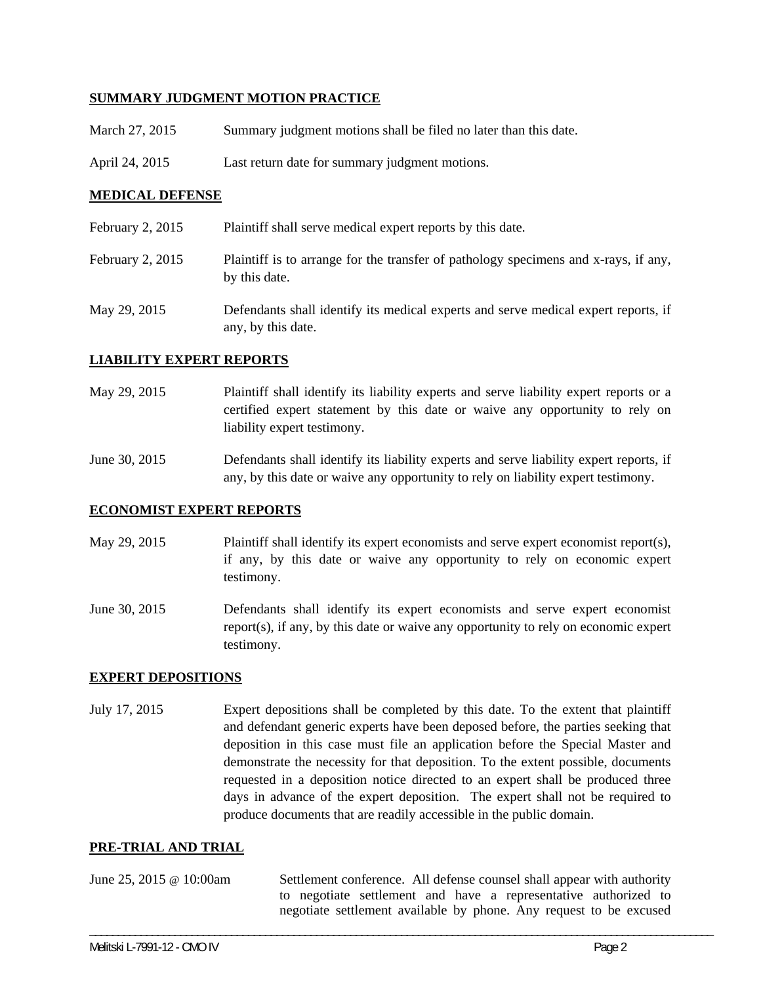## **SUMMARY JUDGMENT MOTION PRACTICE**

- March 27, 2015 Summary judgment motions shall be filed no later than this date.
- April 24, 2015 Last return date for summary judgment motions.

## **MEDICAL DEFENSE**

February 2, 2015 Plaint if shall serve medical expert reports by this date. February 2, 2015 Plaintiff is to arrange for the transfer of pathology specimens and x-rays, if any, by this date. May 29, 2015 Defendants shall identify its medical experts and serve medical expert reports, if any, by this date.

### **LIABILITY EXPERT REPORTS**

May 29, 2015 Plaintiff shall identify its liability experts and serve liability expert reports or a certified expert statement by this date or waive any opportunity to rely on liability expert testimony.

June 30, 2015 Defendants shall identify its liability experts and serve liability expert reports, if any, by this date or waive any opportunity to rely on liability expert testimony.

#### **ECONOMIST EXPERT REPORTS**

- May 29, 2015 Plaintiff shall identify its expert economists and serve expert economist report(s), if any, by this date or waive any opportunity to rely on economic expert testimony.
- June 30, 2015 Defendants shall identify its expert economists and serve expert economist report(s), if any, by this date or waive any opportunity to rely on economic expert testimony.

#### **EXPERT DEPOSITIONS**

July 17, 2015 Expert depositions shall be completed by this date. To the extent that plaintiff and defendant generic experts have been deposed before, the parties seeking that deposition in this case must file an application before the Special Master and demonstrate the necessity for that deposition. To the extent possible, documents requested in a deposition notice directed to an expert shall be produced three days in advance of the expert deposition. The expert shall not be required to produce documents that are readily accessible in the public domain.

#### **PRE-TRIAL AND TRIAL**

June 25, 2015 @ 10:00am Settlement conference. All defense counsel shall appear with authority to negotiate settlement and have a representative authorized to negotiate settlement available by phone. Any request to be excused

\_\_\_\_\_\_\_\_\_\_\_\_\_\_\_\_\_\_\_\_\_\_\_\_\_\_\_\_\_\_\_\_\_\_\_\_\_\_\_\_\_\_\_\_\_\_\_\_\_\_\_\_\_\_\_\_\_\_\_\_\_\_\_\_\_\_\_\_\_\_\_\_\_\_\_\_\_\_\_\_\_\_\_\_\_\_\_\_\_\_\_\_\_\_\_\_\_\_\_\_\_\_\_\_\_\_\_\_\_\_